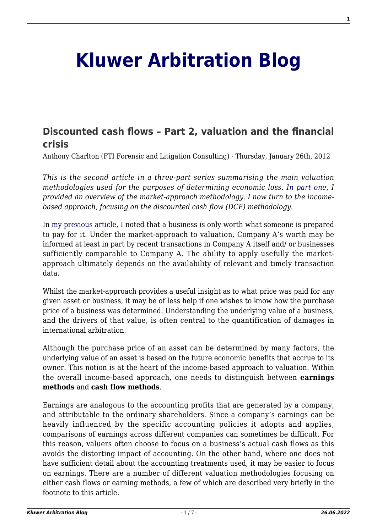# **[Kluwer Arbitration Blog](http://arbitrationblog.kluwerarbitration.com/)**

# **[Discounted cash flows – Part 2, valuation and the financial](http://arbitrationblog.kluwerarbitration.com/2012/01/26/discounted-cash-flows-part-2-valuation-and-the-financial-crisis/) [crisis](http://arbitrationblog.kluwerarbitration.com/2012/01/26/discounted-cash-flows-part-2-valuation-and-the-financial-crisis/)**

Anthony Charlton (FTI Forensic and Litigation Consulting) · Thursday, January 26th, 2012

*This is the second article in a three-part series summarising the main valuation methodologies used for the purposes of determining economic loss. [In part one,](http://wolterskluwerblogs.com/blog/2011/11/29/valuation-approaches-and-the-financial-crisis-part-1-%e2%80%93-market-methods/) I provided an overview of the market-approach methodology. I now turn to the incomebased approach, focusing on the discounted cash flow (DCF) methodology.*

In [my previous article,](http://wolterskluwerblogs.com/blog/2011/11/29/valuation-approaches-and-the-financial-crisis-part-1-%e2%80%93-market-methods/) I noted that a business is only worth what someone is prepared to pay for it. Under the market-approach to valuation, Company A's worth may be informed at least in part by recent transactions in Company A itself and/ or businesses sufficiently comparable to Company A. The ability to apply usefully the marketapproach ultimately depends on the availability of relevant and timely transaction data.

Whilst the market-approach provides a useful insight as to what price was paid for any given asset or business, it may be of less help if one wishes to know how the purchase price of a business was determined. Understanding the underlying value of a business, and the drivers of that value, is often central to the quantification of damages in international arbitration.

Although the purchase price of an asset can be determined by many factors, the underlying value of an asset is based on the future economic benefits that accrue to its owner. This notion is at the heart of the income-based approach to valuation. Within the overall income-based approach, one needs to distinguish between **earnings methods** and **cash flow methods**.

Earnings are analogous to the accounting profits that are generated by a company, and attributable to the ordinary shareholders. Since a company's earnings can be heavily influenced by the specific accounting policies it adopts and applies, comparisons of earnings across different companies can sometimes be difficult. For this reason, valuers often choose to focus on a business's actual cash flows as this avoids the distorting impact of accounting. On the other hand, where one does not have sufficient detail about the accounting treatments used, it may be easier to focus on earnings. There are a number of different valuation methodologies focusing on either cash flows or earning methods, a few of which are described very briefly in the footnote to this article.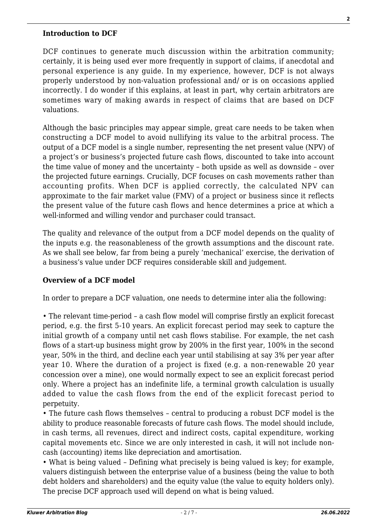#### **Introduction to DCF**

DCF continues to generate much discussion within the arbitration community; certainly, it is being used ever more frequently in support of claims, if anecdotal and personal experience is any guide. In my experience, however, DCF is not always properly understood by non-valuation professional and/ or is on occasions applied incorrectly. I do wonder if this explains, at least in part, why certain arbitrators are sometimes wary of making awards in respect of claims that are based on DCF valuations.

Although the basic principles may appear simple, great care needs to be taken when constructing a DCF model to avoid nullifying its value to the arbitral process. The output of a DCF model is a single number, representing the net present value (NPV) of a project's or business's projected future cash flows, discounted to take into account the time value of money and the uncertainty – both upside as well as downside – over the projected future earnings. Crucially, DCF focuses on cash movements rather than accounting profits. When DCF is applied correctly, the calculated NPV can approximate to the fair market value (FMV) of a project or business since it reflects the present value of the future cash flows and hence determines a price at which a well-informed and willing vendor and purchaser could transact.

The quality and relevance of the output from a DCF model depends on the quality of the inputs e.g. the reasonableness of the growth assumptions and the discount rate. As we shall see below, far from being a purely 'mechanical' exercise, the derivation of a business's value under DCF requires considerable skill and judgement.

#### **Overview of a DCF model**

In order to prepare a DCF valuation, one needs to determine inter alia the following:

• The relevant time-period – a cash flow model will comprise firstly an explicit forecast period, e.g. the first 5-10 years. An explicit forecast period may seek to capture the initial growth of a company until net cash flows stabilise. For example, the net cash flows of a start-up business might grow by 200% in the first year, 100% in the second year, 50% in the third, and decline each year until stabilising at say 3% per year after year 10. Where the duration of a project is fixed (e.g. a non-renewable 20 year concession over a mine), one would normally expect to see an explicit forecast period only. Where a project has an indefinite life, a terminal growth calculation is usually added to value the cash flows from the end of the explicit forecast period to perpetuity.

• The future cash flows themselves – central to producing a robust DCF model is the ability to produce reasonable forecasts of future cash flows. The model should include, in cash terms, all revenues, direct and indirect costs, capital expenditure, working capital movements etc. Since we are only interested in cash, it will not include noncash (accounting) items like depreciation and amortisation.

• What is being valued – Defining what precisely is being valued is key; for example, valuers distinguish between the enterprise value of a business (being the value to both debt holders and shareholders) and the equity value (the value to equity holders only). The precise DCF approach used will depend on what is being valued.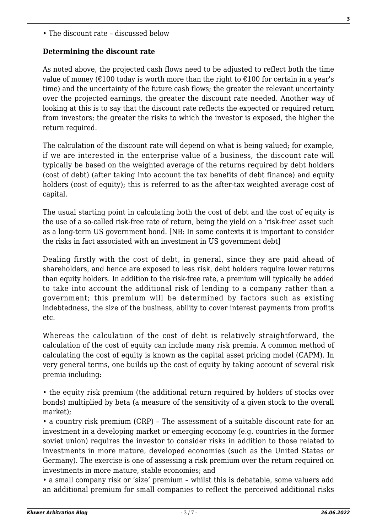• The discount rate – discussed below

## **Determining the discount rate**

As noted above, the projected cash flows need to be adjusted to reflect both the time value of money ( $\epsilon$ 100 today is worth more than the right to  $\epsilon$ 100 for certain in a year's time) and the uncertainty of the future cash flows; the greater the relevant uncertainty over the projected earnings, the greater the discount rate needed. Another way of looking at this is to say that the discount rate reflects the expected or required return from investors; the greater the risks to which the investor is exposed, the higher the return required.

The calculation of the discount rate will depend on what is being valued; for example, if we are interested in the enterprise value of a business, the discount rate will typically be based on the weighted average of the returns required by debt holders (cost of debt) (after taking into account the tax benefits of debt finance) and equity holders (cost of equity); this is referred to as the after-tax weighted average cost of capital.

The usual starting point in calculating both the cost of debt and the cost of equity is the use of a so-called risk-free rate of return, being the yield on a 'risk-free' asset such as a long-term US government bond. [NB: In some contexts it is important to consider the risks in fact associated with an investment in US government debt]

Dealing firstly with the cost of debt, in general, since they are paid ahead of shareholders, and hence are exposed to less risk, debt holders require lower returns than equity holders. In addition to the risk-free rate, a premium will typically be added to take into account the additional risk of lending to a company rather than a government; this premium will be determined by factors such as existing indebtedness, the size of the business, ability to cover interest payments from profits etc.

Whereas the calculation of the cost of debt is relatively straightforward, the calculation of the cost of equity can include many risk premia. A common method of calculating the cost of equity is known as the capital asset pricing model (CAPM). In very general terms, one builds up the cost of equity by taking account of several risk premia including:

• the equity risk premium (the additional return required by holders of stocks over bonds) multiplied by beta (a measure of the sensitivity of a given stock to the overall market);

• a country risk premium (CRP) – The assessment of a suitable discount rate for an investment in a developing market or emerging economy (e.g. countries in the former soviet union) requires the investor to consider risks in addition to those related to investments in more mature, developed economies (such as the United States or Germany). The exercise is one of assessing a risk premium over the return required on investments in more mature, stable economies; and

• a small company risk or 'size' premium – whilst this is debatable, some valuers add an additional premium for small companies to reflect the perceived additional risks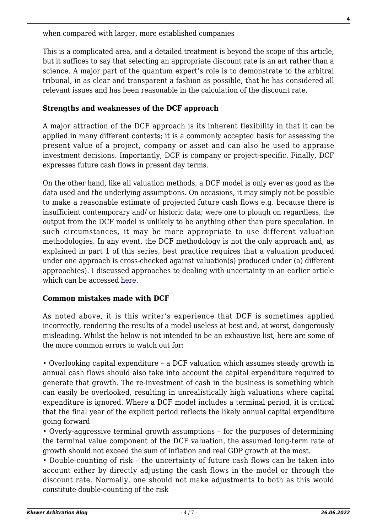when compared with larger, more established companies

This is a complicated area, and a detailed treatment is beyond the scope of this article, but it suffices to say that selecting an appropriate discount rate is an art rather than a science. A major part of the quantum expert's role is to demonstrate to the arbitral tribunal, in as clear and transparent a fashion as possible, that he has considered all relevant issues and has been reasonable in the calculation of the discount rate.

## **Strengths and weaknesses of the DCF approach**

A major attraction of the DCF approach is its inherent flexibility in that it can be applied in many different contexts; it is a commonly accepted basis for assessing the present value of a project, company or asset and can also be used to appraise investment decisions. Importantly, DCF is company or project-specific. Finally, DCF expresses future cash flows in present day terms.

On the other hand, like all valuation methods, a DCF model is only ever as good as the data used and the underlying assumptions. On occasions, it may simply not be possible to make a reasonable estimate of projected future cash flows e.g. because there is insufficient contemporary and/ or historic data; were one to plough on regardless, the output from the DCF model is unlikely to be anything other than pure speculation. In such circumstances, it may be more appropriate to use different valuation methodologies. In any event, the DCF methodology is not the only approach and, as explained in part 1 of this series, best practice requires that a valuation produced under one approach is cross-checked against valuation(s) produced under (a) different approach(es). I discussed approaches to dealing with uncertainty in an earlier article which can be accessed [here](http://wolterskluwerblogs.com/blog/2011/05/26/on-quantifying-known-unknowns/).

# **Common mistakes made with DCF**

As noted above, it is this writer's experience that DCF is sometimes applied incorrectly, rendering the results of a model useless at best and, at worst, dangerously misleading. Whilst the below is not intended to be an exhaustive list, here are some of the more common errors to watch out for:

• Overlooking capital expenditure – a DCF valuation which assumes steady growth in annual cash flows should also take into account the capital expenditure required to generate that growth. The re-investment of cash in the business is something which can easily be overlooked, resulting in unrealistically high valuations where capital expenditure is ignored. Where a DCF model includes a terminal period, it is critical that the final year of the explicit period reflects the likely annual capital expenditure going forward

• Overly-aggressive terminal growth assumptions – for the purposes of determining the terminal value component of the DCF valuation, the assumed long-term rate of growth should not exceed the sum of inflation and real GDP growth at the most.

• Double-counting of risk – the uncertainty of future cash flows can be taken into account either by directly adjusting the cash flows in the model or through the discount rate. Normally, one should not make adjustments to both as this would constitute double-counting of the risk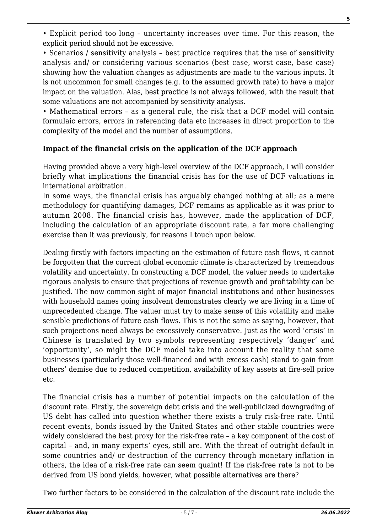**5**

• Explicit period too long – uncertainty increases over time. For this reason, the explicit period should not be excessive.

• Scenarios / sensitivity analysis – best practice requires that the use of sensitivity analysis and/ or considering various scenarios (best case, worst case, base case) showing how the valuation changes as adjustments are made to the various inputs. It is not uncommon for small changes (e.g. to the assumed growth rate) to have a major impact on the valuation. Alas, best practice is not always followed, with the result that some valuations are not accompanied by sensitivity analysis.

• Mathematical errors – as a general rule, the risk that a DCF model will contain formulaic errors, errors in referencing data etc increases in direct proportion to the complexity of the model and the number of assumptions.

## **Impact of the financial crisis on the application of the DCF approach**

Having provided above a very high-level overview of the DCF approach, I will consider briefly what implications the financial crisis has for the use of DCF valuations in international arbitration.

In some ways, the financial crisis has arguably changed nothing at all; as a mere methodology for quantifying damages, DCF remains as applicable as it was prior to autumn 2008. The financial crisis has, however, made the application of DCF, including the calculation of an appropriate discount rate, a far more challenging exercise than it was previously, for reasons I touch upon below.

Dealing firstly with factors impacting on the estimation of future cash flows, it cannot be forgotten that the current global economic climate is characterized by tremendous volatility and uncertainty. In constructing a DCF model, the valuer needs to undertake rigorous analysis to ensure that projections of revenue growth and profitability can be justified. The now common sight of major financial institutions and other businesses with household names going insolvent demonstrates clearly we are living in a time of unprecedented change. The valuer must try to make sense of this volatility and make sensible predictions of future cash flows. This is not the same as saying, however, that such projections need always be excessively conservative. Just as the word 'crisis' in Chinese is translated by two symbols representing respectively 'danger' and 'opportunity', so might the DCF model take into account the reality that some businesses (particularly those well-financed and with excess cash) stand to gain from others' demise due to reduced competition, availability of key assets at fire-sell price etc.

The financial crisis has a number of potential impacts on the calculation of the discount rate. Firstly, the sovereign debt crisis and the well-publicized downgrading of US debt has called into question whether there exists a truly risk-free rate. Until recent events, bonds issued by the United States and other stable countries were widely considered the best proxy for the risk-free rate – a key component of the cost of capital – and, in many experts' eyes, still are. With the threat of outright default in some countries and/ or destruction of the currency through monetary inflation in others, the idea of a risk-free rate can seem quaint! If the risk-free rate is not to be derived from US bond yields, however, what possible alternatives are there?

Two further factors to be considered in the calculation of the discount rate include the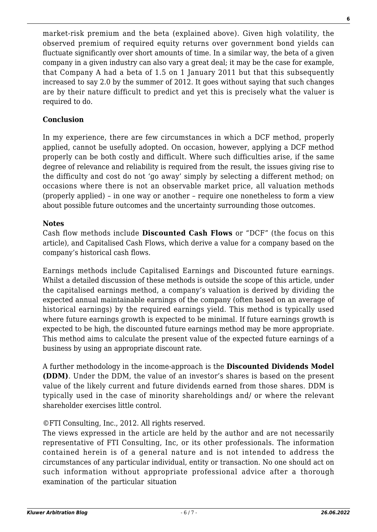market-risk premium and the beta (explained above). Given high volatility, the observed premium of required equity returns over government bond yields can fluctuate significantly over short amounts of time. In a similar way, the beta of a given company in a given industry can also vary a great deal; it may be the case for example, that Company A had a beta of 1.5 on 1 January 2011 but that this subsequently increased to say 2.0 by the summer of 2012. It goes without saying that such changes are by their nature difficult to predict and yet this is precisely what the valuer is required to do.

## **Conclusion**

In my experience, there are few circumstances in which a DCF method, properly applied, cannot be usefully adopted. On occasion, however, applying a DCF method properly can be both costly and difficult. Where such difficulties arise, if the same degree of relevance and reliability is required from the result, the issues giving rise to the difficulty and cost do not 'go away' simply by selecting a different method; on occasions where there is not an observable market price, all valuation methods (properly applied) – in one way or another – require one nonetheless to form a view about possible future outcomes and the uncertainty surrounding those outcomes.

#### **Notes**

Cash flow methods include **Discounted Cash Flows** or "DCF" (the focus on this article), and Capitalised Cash Flows, which derive a value for a company based on the company's historical cash flows.

Earnings methods include Capitalised Earnings and Discounted future earnings. Whilst a detailed discussion of these methods is outside the scope of this article, under the capitalised earnings method, a company's valuation is derived by dividing the expected annual maintainable earnings of the company (often based on an average of historical earnings) by the required earnings yield. This method is typically used where future earnings growth is expected to be minimal. If future earnings growth is expected to be high, the discounted future earnings method may be more appropriate. This method aims to calculate the present value of the expected future earnings of a business by using an appropriate discount rate.

A further methodology in the income-approach is the **Discounted Dividends Model (DDM)**. Under the DDM, the value of an investor's shares is based on the present value of the likely current and future dividends earned from those shares. DDM is typically used in the case of minority shareholdings and/ or where the relevant shareholder exercises little control.

# ©FTI Consulting, Inc., 2012. All rights reserved.

The views expressed in the article are held by the author and are not necessarily representative of FTI Consulting, Inc, or its other professionals. The information contained herein is of a general nature and is not intended to address the circumstances of any particular individual, entity or transaction. No one should act on such information without appropriate professional advice after a thorough examination of the particular situation